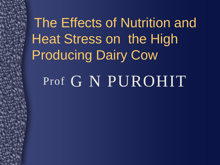The Effects of Nutrition and Heat Stress on the High Producing Dairy Cow

Prof G N PUROHIT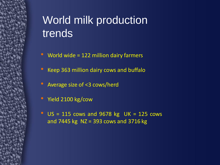#### World milk production trends

- World wide = 122 million dairy farmers
- Keep 363 million dairy cows and buffalo
- Average size of <3 cows/herd
- Yield 2100 kg/cow
- $\bullet$  US = 115 cows and 9678 kg UK = 125 cows and 7445 kg NZ = 393 cows and 3716 kg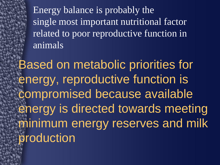Energy balance is probably the single most important nutritional factor related to poor reproductive function in animals

Based on metabolic priorities for energy, reproductive function is compromised because available energy is directed towards meeting minimum energy reserves and milk production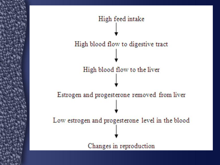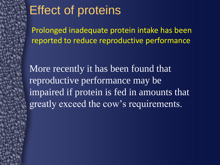#### Effect of proteins

Prolonged inadequate protein intake has been reported to reduce reproductive performance

More recently it has been found that reproductive performance may be impaired if protein is fed in amounts that greatly exceed the cow's requirements.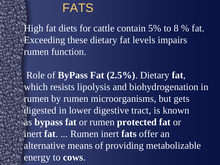#### FATS

High fat diets for cattle contain 5% to 8 % fat. Exceeding these dietary fat levels impairs rumen function.

Role of **ByPass Fat (2.5%)**. Dietary **fat**, which resists lipolysis and biohydrogenation in rumen by rumen microorganisms, but gets digested in lower digestive tract, is known as **bypass fat** or rumen **protected fat** or inert **fat**. ... Rumen inert **fats** offer an alternative means of providing metabolizable energy to **cows**.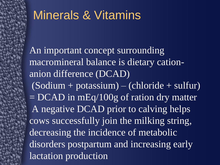#### Minerals & Vitamins

An important concept surrounding macromineral balance is dietary cationanion difference (DCAD)  $(Sodium + potassium) - (chloride + sulfur)$  $=$  DCAD in mEq/100g of ration dry matter A negative DCAD prior to calving helps cows successfully join the milking string, decreasing the incidence of metabolic disorders postpartum and increasing early lactation production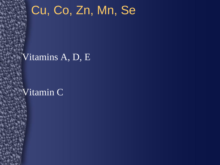#### Cu, Co, Zn, Mn, Se

#### Vitamins A, D, E

#### Vitamin C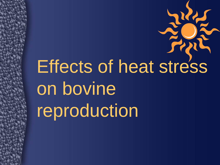# Effects of heat stress on bovine reproduction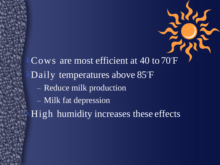$\lambda$ Cows are most efficient at 40 to 70°F  $\lambda$ Daily temperatures above 85°F – Reduce milk production – Milk fat depression High humidity increases these effects

KA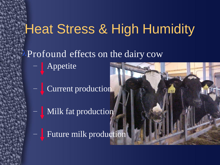# Heat Stress & High Humidity

Profound effects on the dairy cow

– Appetite

– Current production

Milk fat production

Future milk production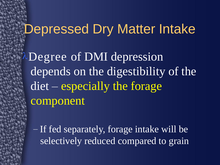#### Depressed Dry Matter Intake

Degree of DMI depression depends on the digestibility of the diet – especially the forage component

– If fed separately, forage intake will be selectively reduced compared to grain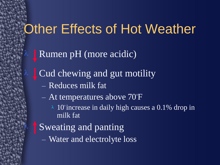# Other Effects of Hot Weather

Rumen pH (more acidic)

Cud chewing and gut motility

– Reduces milk fat

– At temperatures above 70°F

2 10° increase in daily high causes a 0.1% drop in milk fat

Sweating and panting

 $\lambda$ 

– Water and electrolyte loss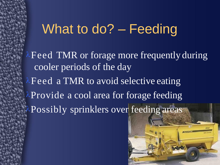## What to do? - Feeding

 $\lambda$  Feed TMR or forage more frequently during cooler periods of the day  $\lambda$  Feed a TMR to avoid selective eating  $\lambda$ Provide a cool area for forage feeding **APossibly sprinklers over feeding areas** 

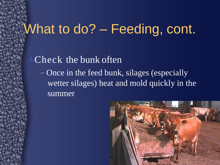#### What to do? - Feeding, cont.

#### $\lambda$ Check the bunk often

– Once in the feed bunk, silages (especially wetter silages) heat and mold quickly in the summer

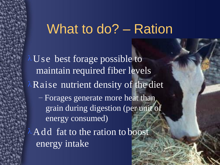#### What to do? – Ration

 $\lambda$ Use best forage possible to maintain required fiber levels  $\lambda$ Raise nutrient density of the diet – Forages generate more heat than grain during digestion (per unit of energy consumed)  $\lambda$  Add fat to the ration to boost energy intake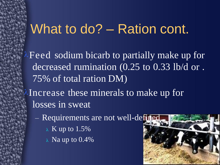#### What to do? – Ration cont.

 $\lambda$  Feed sodium bicarb to partially make up for decreased rumination (0.25 to 0.33 lb/d or . 75% of total ration DM)

 $\lambda$ Increase these minerals to make up for losses in sweat

- Requirements are not well-defined
	- $\lambda$  K up to 1.5%
	- $\lambda$  Na up to 0.4%

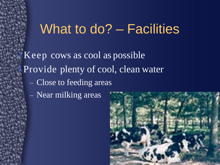#### What to do? – Facilities

 $\lambda$ Keep cows as cool as possible Provide plenty of cool, clean water – Close to feeding areas – Near milking areas

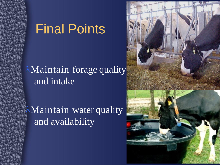#### Final Points

#### **Maintain forage quality** and intake

Maintain water quality and availability

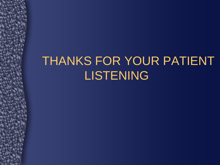## THANKS FOR YOUR PATIENT LISTENING